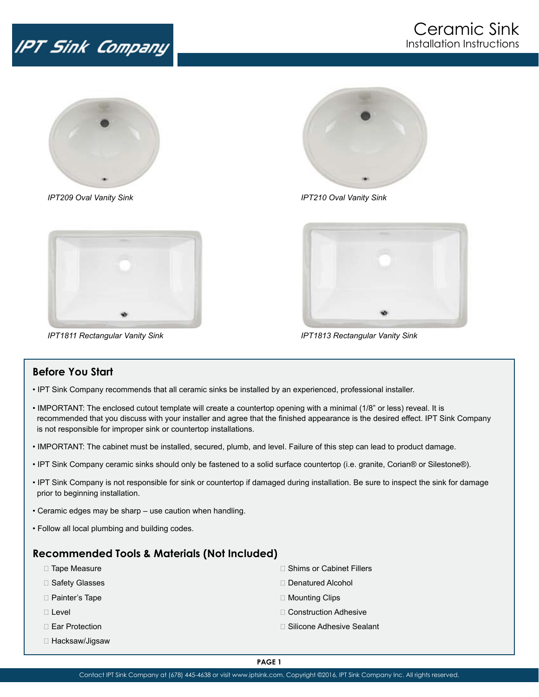## IPT Sink Company



*IPT209 Oval Vanity Sink IPT210 Oval Vanity Sink*





*IPT1811 Rectangular Vanity Sink IPT1813 Rectangular Vanity Sink*



## **Before You Start**

- IPT Sink Company recommends that all ceramic sinks be installed by an experienced, professional installer.
- IMPORTANT: The enclosed cutout template will create a countertop opening with a minimal (1/8" or less) reveal. It is recommended that you discuss with your installer and agree that the finished appearance is the desired effect. IPT Sink Company is not responsible for improper sink or countertop installations.
- IMPORTANT: The cabinet must be installed, secured, plumb, and level. Failure of this step can lead to product damage.
- IPT Sink Company ceramic sinks should only be fastened to a solid surface countertop (i.e. granite, Corian® or Silestone®).
- IPT Sink Company is not responsible for sink or countertop if damaged during installation. Be sure to inspect the sink for damage prior to beginning installation.
- Ceramic edges may be sharp use caution when handling.
- Follow all local plumbing and building codes.

## **Recommended Tools & Materials (Not Included)**

- □ Tape Measure
- □ Safety Glasses
- □ Painter's Tape
- $\Box$  Level
- □ Ear Protection
- □ Hacksaw/Jigsaw
- □ Shims or Cabinet Fillers
- □ Denatured Alcohol
- □ Mounting Clips
- □ Construction Adhesive
- □ Silicone Adhesive Sealant